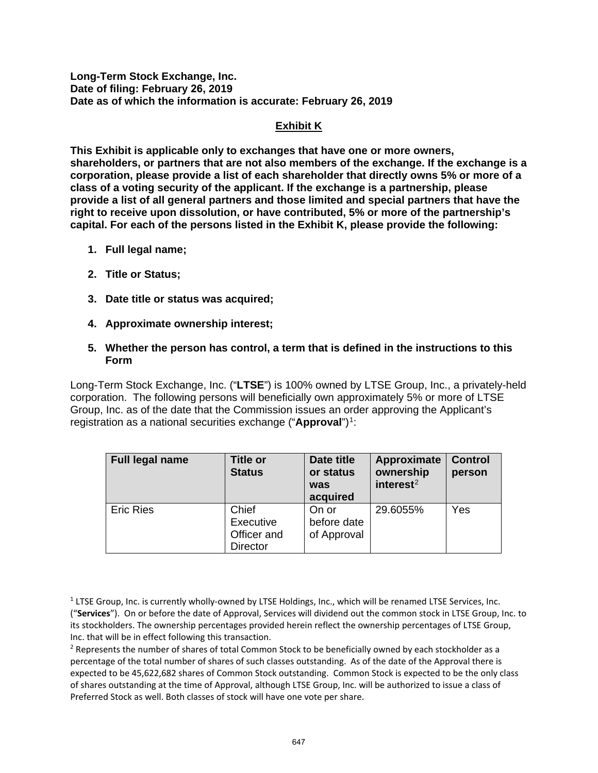**Long-Term Stock Exchange, Inc. Date of filing: February 26, 2019 Date as of which the information is accurate: February 26, 2019** 

## **Exhibit K**

**This Exhibit is applicable only to exchanges that have one or more owners, shareholders, or partners that are not also members of the exchange. If the exchange is a corporation, please provide a list of each shareholder that directly owns 5% or more of a class of a voting security of the applicant. If the exchange is a partnership, please provide a list of all general partners and those limited and special partners that have the right to receive upon dissolution, or have contributed, 5% or more of the partnership's capital. For each of the persons listed in the Exhibit K, please provide the following:** 

- **1. Full legal name;**
- **2. Title or Status;**
- **3. Date title or status was acquired;**
- **4. Approximate ownership interest;**
- **5. Whether the person has control, a term that is defined in the instructions to this Form**

Long-Term Stock Exchange, Inc. ("**LTSE**") is 100% owned by LTSE Group, Inc., a privately-held corporation. The following persons will beneficially own approximately 5% or more of LTSE Group, Inc. as of the date that the Commission issues an order approving the Applicant's registration as a national securities exchange ("**Approval**")<sup>1</sup>:

| Full legal name  | <b>Title or</b><br><b>Status</b>                     | Date title<br>or status<br>was<br>acquired | Approximate<br>ownership<br>interest $2$ | <b>Control</b><br>person |
|------------------|------------------------------------------------------|--------------------------------------------|------------------------------------------|--------------------------|
| <b>Eric Ries</b> | Chief<br>Executive<br>Officer and<br><b>Director</b> | On or<br>before date<br>of Approval        | 29.6055%                                 | Yes                      |

<span id="page-0-1"></span>Inc. that will be in effect following this transaction.<br><sup>2</sup> Represents the number of shares of total Common Stock to be beneficially owned by each stockholder as a percentage of the total number of shares of such classes outstanding. As of the date of the Approval there is expected to be 45,622,682 shares of Common Stock outstanding. Common Stock is expected to be the only class of shares outstanding at the time of Approval, although LTSE Group, Inc. will be authorized to issue a class of Preferred Stock as well. Both classes of stock will have one vote per share.

<span id="page-0-0"></span> $<sup>1</sup>$  LTSE Group, Inc. is currently wholly-owned by LTSE Holdings, Inc., which will be renamed LTSE Services, Inc.</sup> ("**Services**"). On or before the date of Approval, Services will dividend out the common stock in LTSE Group, Inc. to its stockholders. The ownership percentages provided herein reflect the ownership percentages of LTSE Group, Inc. that will be in effect following this transaction.